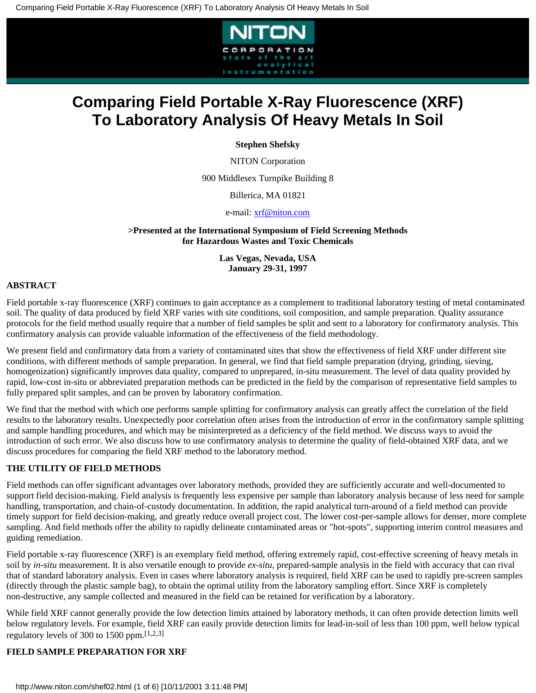

**Stephen Shefsky**

NITON Corporation

900 Middlesex Turnpike Building 8

Billerica, MA 01821

e-mail: [xrf@niton.com](mailto:xrf@niton.com)

**>Presented at the International Symposium of Field Screening Methods for Hazardous Wastes and Toxic Chemicals**

> **Las Vegas, Nevada, USA January 29-31, 1997**

## **ABSTRACT**

Field portable x-ray fluorescence (XRF) continues to gain acceptance as a complement to traditional laboratory testing of metal contaminated soil. The quality of data produced by field XRF varies with site conditions, soil composition, and sample preparation. Quality assurance protocols for the field method usually require that a number of field samples be split and sent to a laboratory for confirmatory analysis. This confirmatory analysis can provide valuable information of the effectiveness of the field methodology.

We present field and confirmatory data from a variety of contaminated sites that show the effectiveness of field XRF under different site conditions, with different methods of sample preparation. In general, we find that field sample preparation (drying, grinding, sieving, homogenization) significantly improves data quality, compared to unprepared, in-situ measurement. The level of data quality provided by rapid, low-cost in-situ or abbreviated preparation methods can be predicted in the field by the comparison of representative field samples to fully prepared split samples, and can be proven by laboratory confirmation.

We find that the method with which one performs sample splitting for confirmatory analysis can greatly affect the correlation of the field results to the laboratory results. Unexpectedly poor correlation often arises from the introduction of error in the confirmatory sample splitting and sample handling procedures, and which may be misinterpreted as a deficiency of the field method. We discuss ways to avoid the introduction of such error. We also discuss how to use confirmatory analysis to determine the quality of field-obtained XRF data, and we discuss procedures for comparing the field XRF method to the laboratory method.

## **THE UTILITY OF FIELD METHODS**

Field methods can offer significant advantages over laboratory methods, provided they are sufficiently accurate and well-documented to support field decision-making. Field analysis is frequently less expensive per sample than laboratory analysis because of less need for sample handling, transportation, and chain-of-custody documentation. In addition, the rapid analytical turn-around of a field method can provide timely support for field decision-making, and greatly reduce overall project cost. The lower cost-per-sample allows for denser, more complete sampling. And field methods offer the ability to rapidly delineate contaminated areas or "hot-spots", supporting interim control measures and guiding remediation.

Field portable x-ray fluorescence (XRF) is an exemplary field method, offering extremely rapid, cost-effective screening of heavy metals in soil by *in-situ* measurement. It is also versatile enough to provide *ex-situ*, prepared-sample analysis in the field with accuracy that can rival that of standard laboratory analysis. Even in cases where laboratory analysis is required, field XRF can be used to rapidly pre-screen samples (directly through the plastic sample bag), to obtain the optimal utility from the laboratory sampling effort. Since XRF is completely non-destructive, any sample collected and measured in the field can be retained for verification by a laboratory.

While field XRF cannot generally provide the low detection limits attained by laboratory methods, it can often provide detection limits well below regulatory levels. For example, field XRF can easily provide detection limits for lead-in-soil of less than 100 ppm, well below typical regulatory levels of 300 to 1500 ppm.[1,2,3]

# **FIELD SAMPLE PREPARATION FOR XRF**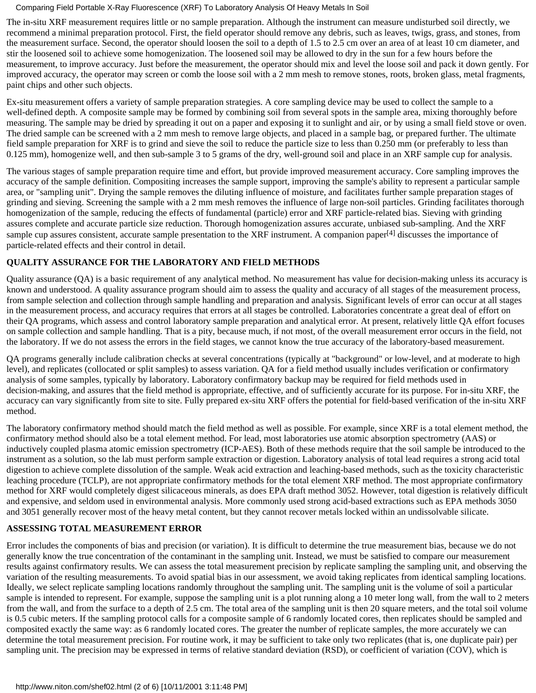The in-situ XRF measurement requires little or no sample preparation. Although the instrument can measure undisturbed soil directly, we recommend a minimal preparation protocol. First, the field operator should remove any debris, such as leaves, twigs, grass, and stones, from the measurement surface. Second, the operator should loosen the soil to a depth of 1.5 to 2.5 cm over an area of at least 10 cm diameter, and stir the loosened soil to achieve some homogenization. The loosened soil may be allowed to dry in the sun for a few hours before the measurement, to improve accuracy. Just before the measurement, the operator should mix and level the loose soil and pack it down gently. For improved accuracy, the operator may screen or comb the loose soil with a 2 mm mesh to remove stones, roots, broken glass, metal fragments, paint chips and other such objects.

Ex-situ measurement offers a variety of sample preparation strategies. A core sampling device may be used to collect the sample to a well-defined depth. A composite sample may be formed by combining soil from several spots in the sample area, mixing thoroughly before measuring. The sample may be dried by spreading it out on a paper and exposing it to sunlight and air, or by using a small field stove or oven. The dried sample can be screened with a 2 mm mesh to remove large objects, and placed in a sample bag, or prepared further. The ultimate field sample preparation for XRF is to grind and sieve the soil to reduce the particle size to less than 0.250 mm (or preferably to less than 0.125 mm), homogenize well, and then sub-sample 3 to 5 grams of the dry, well-ground soil and place in an XRF sample cup for analysis.

The various stages of sample preparation require time and effort, but provide improved measurement accuracy. Core sampling improves the accuracy of the sample definition. Compositing increases the sample support, improving the sample's ability to represent a particular sample area, or "sampling unit". Drying the sample removes the diluting influence of moisture, and facilitates further sample preparation stages of grinding and sieving. Screening the sample with a 2 mm mesh removes the influence of large non-soil particles. Grinding facilitates thorough homogenization of the sample, reducing the effects of fundamental (particle) error and XRF particle-related bias. Sieving with grinding assures complete and accurate particle size reduction. Thorough homogenization assures accurate, unbiased sub-sampling. And the XRF sample cup assures consistent, accurate sample presentation to the XRF instrument. A companion paper<sup>[4]</sup> discusses the importance of particle-related effects and their control in detail.

# **QUALITY ASSURANCE FOR THE LABORATORY AND FIELD METHODS**

Quality assurance (QA) is a basic requirement of any analytical method. No measurement has value for decision-making unless its accuracy is known and understood. A quality assurance program should aim to assess the quality and accuracy of all stages of the measurement process, from sample selection and collection through sample handling and preparation and analysis. Significant levels of error can occur at all stages in the measurement process, and accuracy requires that errors at all stages be controlled. Laboratories concentrate a great deal of effort on their QA programs, which assess and control laboratory sample preparation and analytical error. At present, relatively little QA effort focuses on sample collection and sample handling. That is a pity, because much, if not most, of the overall measurement error occurs in the field, not the laboratory. If we do not assess the errors in the field stages, we cannot know the true accuracy of the laboratory-based measurement.

QA programs generally include calibration checks at several concentrations (typically at "background" or low-level, and at moderate to high level), and replicates (collocated or split samples) to assess variation. QA for a field method usually includes verification or confirmatory analysis of some samples, typically by laboratory. Laboratory confirmatory backup may be required for field methods used in decision-making, and assures that the field method is appropriate, effective, and of sufficiently accurate for its purpose. For in-situ XRF, the accuracy can vary significantly from site to site. Fully prepared ex-situ XRF offers the potential for field-based verification of the in-situ XRF method.

The laboratory confirmatory method should match the field method as well as possible. For example, since XRF is a total element method, the confirmatory method should also be a total element method. For lead, most laboratories use atomic absorption spectrometry (AAS) or inductively coupled plasma atomic emission spectrometry (ICP-AES). Both of these methods require that the soil sample be introduced to the instrument as a solution, so the lab must perform sample extraction or digestion. Laboratory analysis of total lead requires a strong acid total digestion to achieve complete dissolution of the sample. Weak acid extraction and leaching-based methods, such as the toxicity characteristic leaching procedure (TCLP), are not appropriate confirmatory methods for the total element XRF method. The most appropriate confirmatory method for XRF would completely digest silicaceous minerals, as does EPA draft method 3052. However, total digestion is relatively difficult and expensive, and seldom used in environmental analysis. More commonly used strong acid-based extractions such as EPA methods 3050 and 3051 generally recover most of the heavy metal content, but they cannot recover metals locked within an undissolvable silicate.

# **ASSESSING TOTAL MEASUREMENT ERROR**

Error includes the components of bias and precision (or variation). It is difficult to determine the true measurement bias, because we do not generally know the true concentration of the contaminant in the sampling unit. Instead, we must be satisfied to compare our measurement results against confirmatory results. We can assess the total measurement precision by replicate sampling the sampling unit, and observing the variation of the resulting measurements. To avoid spatial bias in our assessment, we avoid taking replicates from identical sampling locations. Ideally, we select replicate sampling locations randomly throughout the sampling unit. The sampling unit is the volume of soil a particular sample is intended to represent. For example, suppose the sampling unit is a plot running along a 10 meter long wall, from the wall to 2 meters from the wall, and from the surface to a depth of 2.5 cm. The total area of the sampling unit is then 20 square meters, and the total soil volume is 0.5 cubic meters. If the sampling protocol calls for a composite sample of 6 randomly located cores, then replicates should be sampled and composited exactly the same way: as 6 randomly located cores. The greater the number of replicate samples, the more accurately we can determine the total measurement precision. For routine work, it may be sufficient to take only two replicates (that is, one duplicate pair) per sampling unit. The precision may be expressed in terms of relative standard deviation (RSD), or coefficient of variation (COV), which is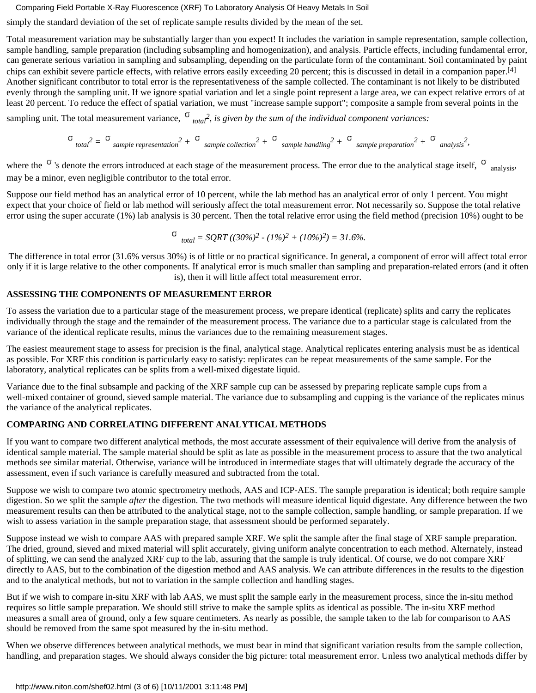simply the standard deviation of the set of replicate sample results divided by the mean of the set.

Total measurement variation may be substantially larger than you expect! It includes the variation in sample representation, sample collection, sample handling, sample preparation (including subsampling and homogenization), and analysis. Particle effects, including fundamental error, can generate serious variation in sampling and subsampling, depending on the particulate form of the contaminant. Soil contaminated by paint chips can exhibit severe particle effects, with relative errors easily exceeding 20 percent; this is discussed in detail in a companion paper.[4] Another significant contributor to total error is the representativeness of the sample collected. The contaminant is not likely to be distributed evenly through the sampling unit. If we ignore spatial variation and let a single point represent a large area, we can expect relative errors of at least 20 percent. To reduce the effect of spatial variation, we must "increase sample support"; composite a sample from several points in the

sampling unit. The total measurement variance,  $\sigma_{total}^2$ , is given by the sum of the individual component variances:

*total2 = sample representation2 + sample collection2 + sample handling2 + sample preparation2 + analysis2,*

where the  $\sigma$  's denote the errors introduced at each stage of the measurement process. The error due to the analytical stage itself,  $\sigma$  analysis, may be a minor, even negligible contributor to the total error.

Suppose our field method has an analytical error of 10 percent, while the lab method has an analytical error of only 1 percent. You might expect that your choice of field or lab method will seriously affect the total measurement error. Not necessarily so. Suppose the total relative error using the super accurate (1%) lab analysis is 30 percent. Then the total relative error using the field method (precision 10%) ought to be

$$
\sigma_{total} = SQRT ((30\%)^2 - (1\%)^2 + (10\%)^2) = 31.6\%.
$$

The difference in total error (31.6% versus 30%) is of little or no practical significance. In general, a component of error will affect total error only if it is large relative to the other components. If analytical error is much smaller than sampling and preparation-related errors (and it often is), then it will little affect total measurement error.

# **ASSESSING THE COMPONENTS OF MEASUREMENT ERROR**

To assess the variation due to a particular stage of the measurement process, we prepare identical (replicate) splits and carry the replicates individually through the stage and the remainder of the measurement process. The variance due to a particular stage is calculated from the variance of the identical replicate results, minus the variances due to the remaining measurement stages.

The easiest meaurement stage to assess for precision is the final, analytical stage. Analytical replicates entering analysis must be as identical as possible. For XRF this condition is particularly easy to satisfy: replicates can be repeat measurements of the same sample. For the laboratory, analytical replicates can be splits from a well-mixed digestate liquid.

Variance due to the final subsample and packing of the XRF sample cup can be assessed by preparing replicate sample cups from a well-mixed container of ground, sieved sample material. The variance due to subsampling and cupping is the variance of the replicates minus the variance of the analytical replicates.

# **COMPARING AND CORRELATING DIFFERENT ANALYTICAL METHODS**

If you want to compare two different analytical methods, the most accurate assessment of their equivalence will derive from the analysis of identical sample material. The sample material should be split as late as possible in the measurement process to assure that the two analytical methods see similar material. Otherwise, variance will be introduced in intermediate stages that will ultimately degrade the accuracy of the assessment, even if such variance is carefully measured and subtracted from the total.

Suppose we wish to compare two atomic spectrometry methods, AAS and ICP-AES. The sample preparation is identical; both require sample digestion. So we split the sample *after* the digestion. The two methods will measure identical liquid digestate. Any difference between the two measurement results can then be attributed to the analytical stage, not to the sample collection, sample handling, or sample preparation. If we wish to assess variation in the sample preparation stage, that assessment should be performed separately.

Suppose instead we wish to compare AAS with prepared sample XRF. We split the sample after the final stage of XRF sample preparation. The dried, ground, sieved and mixed material will split accurately, giving uniform analyte concentration to each method. Alternately, instead of splitting, we can send the analyzed XRF cup to the lab, assuring that the sample is truly identical. Of course, we do not compare XRF directly to AAS, but to the combination of the digestion method and AAS analysis. We can attribute differences in the results to the digestion and to the analytical methods, but not to variation in the sample collection and handling stages.

But if we wish to compare in-situ XRF with lab AAS, we must split the sample early in the measurement process, since the in-situ method requires so little sample preparation. We should still strive to make the sample splits as identical as possible. The in-situ XRF method measures a small area of ground, only a few square centimeters. As nearly as possible, the sample taken to the lab for comparison to AAS should be removed from the same spot measured by the in-situ method.

When we observe differences between analytical methods, we must bear in mind that significant variation results from the sample collection, handling, and preparation stages. We should always consider the big picture: total measurement error. Unless two analytical methods differ by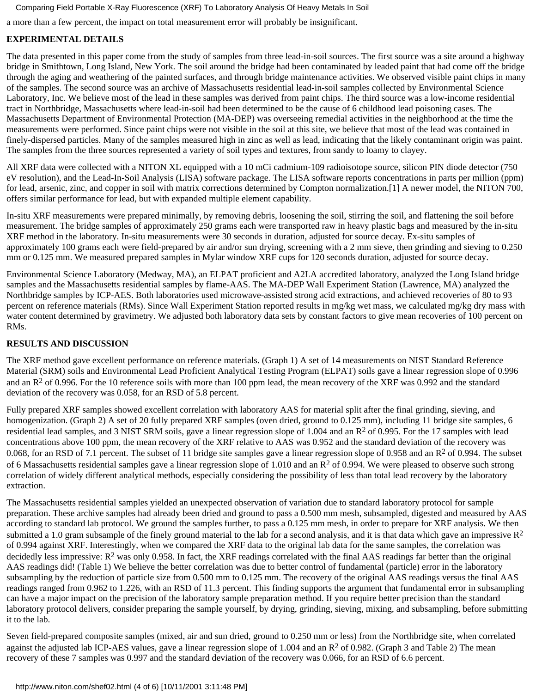a more than a few percent, the impact on total measurement error will probably be insignificant.

# **EXPERIMENTAL DETAILS**

The data presented in this paper come from the study of samples from three lead-in-soil sources. The first source was a site around a highway bridge in Smithtown, Long Island, New York. The soil around the bridge had been contaminated by leaded paint that had come off the bridge through the aging and weathering of the painted surfaces, and through bridge maintenance activities. We observed visible paint chips in many of the samples. The second source was an archive of Massachusetts residential lead-in-soil samples collected by Environmental Science Laboratory, Inc. We believe most of the lead in these samples was derived from paint chips. The third source was a low-income residential tract in Northbridge, Massachusetts where lead-in-soil had been determined to be the cause of 6 childhood lead poisoning cases. The Massachusetts Department of Environmental Protection (MA-DEP) was overseeing remedial activities in the neighborhood at the time the measurements were performed. Since paint chips were not visible in the soil at this site, we believe that most of the lead was contained in finely-dispersed particles. Many of the samples measured high in zinc as well as lead, indicating that the likely contaminant origin was paint. The samples from the three sources represented a variety of soil types and textures, from sandy to loamy to clayey.

All XRF data were collected with a NITON XL equipped with a 10 mCi cadmium-109 radioisotope source, silicon PIN diode detector (750 eV resolution), and the Lead-In-Soil Analysis (LISA) software package. The LISA software reports concentrations in parts per million (ppm) for lead, arsenic, zinc, and copper in soil with matrix corrections determined by Compton normalization.[1] A newer model, the NITON 700, offers similar performance for lead, but with expanded multiple element capability.

In-situ XRF measurements were prepared minimally, by removing debris, loosening the soil, stirring the soil, and flattening the soil before measurement. The bridge samples of approximately 250 grams each were transported raw in heavy plastic bags and measured by the in-situ XRF method in the laboratory. In-situ measurements were 30 seconds in duration, adjusted for source decay. Ex-situ samples of approximately 100 grams each were field-prepared by air and/or sun drying, screening with a 2 mm sieve, then grinding and sieving to 0.250 mm or 0.125 mm. We measured prepared samples in Mylar window XRF cups for 120 seconds duration, adjusted for source decay.

Environmental Science Laboratory (Medway, MA), an ELPAT proficient and A2LA accredited laboratory, analyzed the Long Island bridge samples and the Massachusetts residential samples by flame-AAS. The MA-DEP Wall Experiment Station (Lawrence, MA) analyzed the Northbridge samples by ICP-AES. Both laboratories used microwave-assisted strong acid extractions, and achieved recoveries of 80 to 93 percent on reference materials (RMs). Since Wall Experiment Station reported results in mg/kg wet mass, we calculated mg/kg dry mass with water content determined by gravimetry. We adjusted both laboratory data sets by constant factors to give mean recoveries of 100 percent on RMs.

# **RESULTS AND DISCUSSION**

The XRF method gave excellent performance on reference materials. (Graph 1) A set of 14 measurements on NIST Standard Reference Material (SRM) soils and Environmental Lead Proficient Analytical Testing Program (ELPAT) soils gave a linear regression slope of 0.996 and an  $R^2$  of 0.996. For the 10 reference soils with more than 100 ppm lead, the mean recovery of the XRF was 0.992 and the standard deviation of the recovery was 0.058, for an RSD of 5.8 percent.

Fully prepared XRF samples showed excellent correlation with laboratory AAS for material split after the final grinding, sieving, and homogenization. (Graph 2) A set of 20 fully prepared XRF samples (oven dried, ground to 0.125 mm), including 11 bridge site samples, 6 residential lead samples, and 3 NIST SRM soils, gave a linear regression slope of 1.004 and an R2 of 0.995. For the 17 samples with lead concentrations above 100 ppm, the mean recovery of the XRF relative to AAS was 0.952 and the standard deviation of the recovery was 0.068, for an RSD of 7.1 percent. The subset of 11 bridge site samples gave a linear regression slope of 0.958 and an  $R<sup>2</sup>$  of 0.994. The subset of 6 Massachusetts residential samples gave a linear regression slope of 1.010 and an  $R<sup>2</sup>$  of 0.994. We were pleased to observe such strong correlation of widely different analytical methods, especially considering the possibility of less than total lead recovery by the laboratory extraction.

The Massachusetts residential samples yielded an unexpected observation of variation due to standard laboratory protocol for sample preparation. These archive samples had already been dried and ground to pass a 0.500 mm mesh, subsampled, digested and measured by AAS according to standard lab protocol. We ground the samples further, to pass a 0.125 mm mesh, in order to prepare for XRF analysis. We then submitted a 1.0 gram subsample of the finely ground material to the lab for a second analysis, and it is that data which gave an impressive  $\mathbb{R}^2$ of 0.994 against XRF. Interestingly, when we compared the XRF data to the original lab data for the same samples, the correlation was decidedly less impressive:  $R^2$  was only 0.958. In fact, the XRF readings correlated with the final AAS readings far better than the original AAS readings did! (Table 1) We believe the better correlation was due to better control of fundamental (particle) error in the laboratory subsampling by the reduction of particle size from 0.500 mm to 0.125 mm. The recovery of the original AAS readings versus the final AAS readings ranged from 0.962 to 1.226, with an RSD of 11.3 percent. This finding supports the argument that fundamental error in subsampling can have a major impact on the precision of the laboratory sample preparation method. If you require better precision than the standard laboratory protocol delivers, consider preparing the sample yourself, by drying, grinding, sieving, mixing, and subsampling, before submitting it to the lab.

Seven field-prepared composite samples (mixed, air and sun dried, ground to 0.250 mm or less) from the Northbridge site, when correlated against the adjusted lab ICP-AES values, gave a linear regression slope of 1.004 and an  $R^2$  of 0.982. (Graph 3 and Table 2) The mean recovery of these 7 samples was 0.997 and the standard deviation of the recovery was 0.066, for an RSD of 6.6 percent.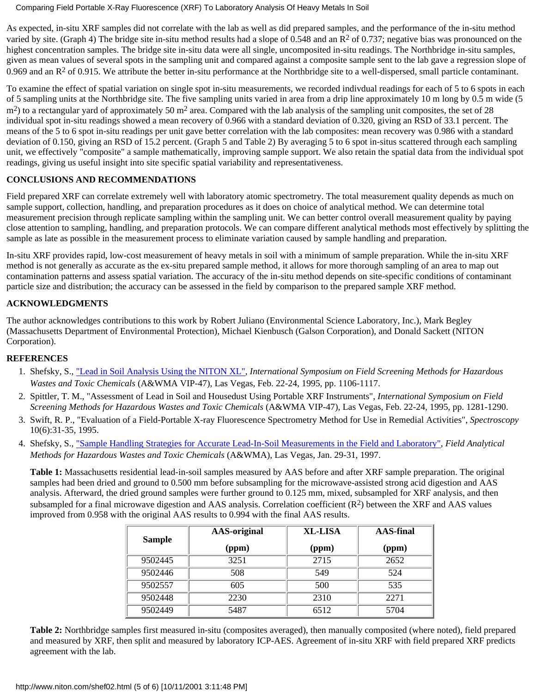As expected, in-situ XRF samples did not correlate with the lab as well as did prepared samples, and the performance of the in-situ method varied by site. (Graph 4) The bridge site in-situ method results had a slope of 0.548 and an R<sup>2</sup> of 0.737; negative bias was pronounced on the highest concentration samples. The bridge site in-situ data were all single, uncomposited in-situ readings. The Northbridge in-situ samples, given as mean values of several spots in the sampling unit and compared against a composite sample sent to the lab gave a regression slope of 0.969 and an  $R<sup>2</sup>$  of 0.915. We attribute the better in-situ performance at the Northbridge site to a well-dispersed, small particle contaminant.

To examine the effect of spatial variation on single spot in-situ measurements, we recorded indivdual readings for each of 5 to 6 spots in each of 5 sampling units at the Northbridge site. The five sampling units varied in area from a drip line approximately 10 m long by 0.5 m wide (5  $m<sup>2</sup>$ ) to a rectangular yard of approximately 50 m<sup>2</sup> area. Compared with the lab analysis of the sampling unit composites, the set of 28 individual spot in-situ readings showed a mean recovery of 0.966 with a standard deviation of 0.320, giving an RSD of 33.1 percent. The means of the 5 to 6 spot in-situ readings per unit gave better correlation with the lab composites: mean recovery was 0.986 with a standard deviation of 0.150, giving an RSD of 15.2 percent. (Graph 5 and Table 2) By averaging 5 to 6 spot in-situs scattered through each sampling unit, we effectively "composite" a sample mathematically, improving sample support. We also retain the spatial data from the individual spot readings, giving us useful insight into site specific spatial variability and representativeness.

# **CONCLUSIONS AND RECOMMENDATIONS**

Field prepared XRF can correlate extremely well with laboratory atomic spectrometry. The total measurement quality depends as much on sample support, collection, handling, and preparation procedures as it does on choice of analytical method. We can determine total measurement precision through replicate sampling within the sampling unit. We can better control overall measurement quality by paying close attention to sampling, handling, and preparation protocols. We can compare different analytical methods most effectively by splitting the sample as late as possible in the measurement process to eliminate variation caused by sample handling and preparation.

In-situ XRF provides rapid, low-cost measurement of heavy metals in soil with a minimum of sample preparation. While the in-situ XRF method is not generally as accurate as the ex-situ prepared sample method, it allows for more thorough sampling of an area to map out contamination patterns and assess spatial variation. The accuracy of the in-situ method depends on site-specific conditions of contaminant particle size and distribution; the accuracy can be assessed in the field by comparison to the prepared sample XRF method.

# **ACKNOWLEDGMENTS**

The author acknowledges contributions to this work by Robert Juliano (Environmental Science Laboratory, Inc.), Mark Begley (Massachusetts Department of Environmental Protection), Michael Kienbusch (Galson Corporation), and Donald Sackett (NITON Corporation).

# **REFERENCES**

- 1. Shefsky, S., ["Lead in Soil Analysis Using the NITON XL"](http://www.niton.com/shef00.html), International Symposium on Field Screening Methods for Hazardous *Wastes and Toxic Chemicals* (A&WMA VIP-47), Las Vegas, Feb. 22-24, 1995, pp. 1106-1117.
- 2. Spittler, T. M., "Assessment of Lead in Soil and Housedust Using Portable XRF Instruments", *International Symposium on Field Screening Methods for Hazardous Wastes and Toxic Chemicals* (A&WMA VIP-47), Las Vegas, Feb. 22-24, 1995, pp. 1281-1290.
- Swift, R. P., "Evaluation of a Field-Portable X-ray Fluorescence Spectrometry Method for Use in Remedial Activities", *Spectroscopy* 3. 10(6):31-35, 1995.
- 4. Shefsky, S., <u>["Sample Handling Strategies for Accurate Lead-In-Soil Measurements in the Field and Laboratory",](http://www.niton.com/shef01.html) Field Analytical</u> *Methods for Hazardous Wastes and Toxic Chemicals* (A&WMA), Las Vegas, Jan. 29-31, 1997.

**Table 1:** Massachusetts residential lead-in-soil samples measured by AAS before and after XRF sample preparation. The original samples had been dried and ground to 0.500 mm before subsampling for the microwave-assisted strong acid digestion and AAS analysis. Afterward, the dried ground samples were further ground to 0.125 mm, mixed, subsampled for XRF analysis, and then subsampled for a final microwave digestion and AAS analysis. Correlation coefficient  $(R<sup>2</sup>)$  between the XRF and AAS values improved from 0.958 with the original AAS results to 0.994 with the final AAS results.

|               | <b>AAS-original</b> | <b>XL-LISA</b> | <b>AAS-final</b> |
|---------------|---------------------|----------------|------------------|
| <b>Sample</b> | (ppm)               | (ppm)          | (ppm)            |
| 9502445       | 3251                | 2715           | 2652             |
| 9502446       | 508                 | 549            | 524              |
| 9502557       | 605                 | 500            | 535              |
| 9502448       | 2230                | 2310           | 2271             |
| 9502449       | 5487                | 6512           | 5704             |

**Table 2:** Northbridge samples first measured in-situ (composites averaged), then manually composited (where noted), field prepared and measured by XRF, then split and measured by laboratory ICP-AES. Agreement of in-situ XRF with field prepared XRF predicts agreement with the lab.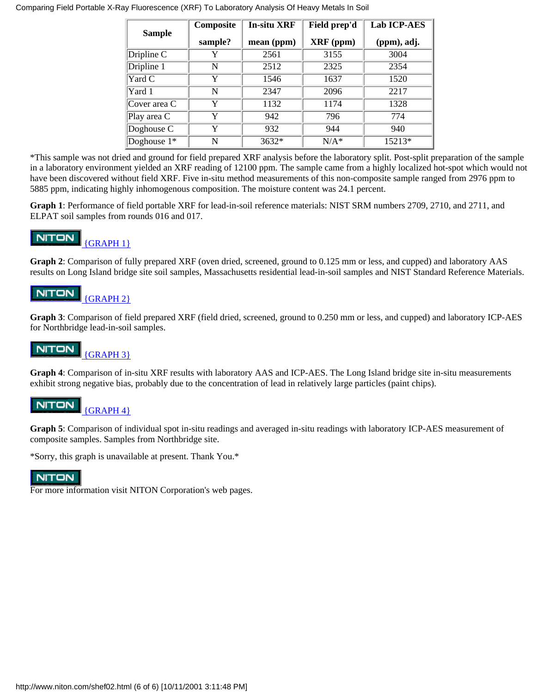| <b>Sample</b> | Composite | <b>In-situ XRF</b> | Field prep'd     | <b>Lab ICP-AES</b> |
|---------------|-----------|--------------------|------------------|--------------------|
|               | sample?   | mean (ppm)         | <b>XRF</b> (ppm) | (ppm), adj.        |
| Driple C      | Y         | 2561               | 3155             | 3004               |
| Dripline 1    | N         | 2512               | 2325             | 2354               |
| Yard C        | Y         | 1546               | 1637             | 1520               |
| Yard 1        | N         | 2347               | 2096             | 2217               |
| Cover area C  | Y         | 1132               | 1174             | 1328               |
| Play area $C$ | Y         | 942                | 796              | 774                |
| Doghouse $C$  | Y         | 932                | 944              | 940                |
| Doghouse $1*$ | N         | $3632*$            | $N/A^*$          | 15213*             |

\*This sample was not dried and ground for field prepared XRF analysis before the laboratory split. Post-split preparation of the sample in a laboratory environment yielded an XRF reading of 12100 ppm. The sample came from a highly localized hot-spot which would not have been discovered without field XRF. Five in-situ method measurements of this non-composite sample ranged from 2976 ppm to 5885 ppm, indicating highly inhomogenous composition. The moisture content was 24.1 percent.

**Graph 1**: Performance of field portable XRF for lead-in-soil reference materials: NIST SRM numbers 2709, 2710, and 2711, and ELPAT soil samples from rounds 016 and 017.

#### **NITON**  [{GRAPH 1}](#page-6-0)

**Graph 2**: Comparison of fully prepared XRF (oven dried, screened, ground to 0.125 mm or less, and cupped) and laboratory AAS results on Long Island bridge site soil samples, Massachusetts residential lead-in-soil samples and NIST Standard Reference Materials.

#### **NITON**  [{GRAPH 2}](#page-7-0)

**Graph 3**: Comparison of field prepared XRF (field dried, screened, ground to 0.250 mm or less, and cupped) and laboratory ICP-AES for Northbridge lead-in-soil samples.

#### **NITON**  [{GRAPH 3}](#page-8-0)

**Graph 4**: Comparison of in-situ XRF results with laboratory AAS and ICP-AES. The Long Island bridge site in-situ measurements exhibit strong negative bias, probably due to the concentration of lead in relatively large particles (paint chips).

#### **NITON**  [{GRAPH 4}](#page-9-0)

**Graph 5**: Comparison of individual spot in-situ readings and averaged in-situ readings with laboratory ICP-AES measurement of composite samples. Samples from Northbridge site.

\*Sorry, this graph is unavailable at present. Thank You.\*

# **NITON**

For more information visit NITON Corporation's web pages.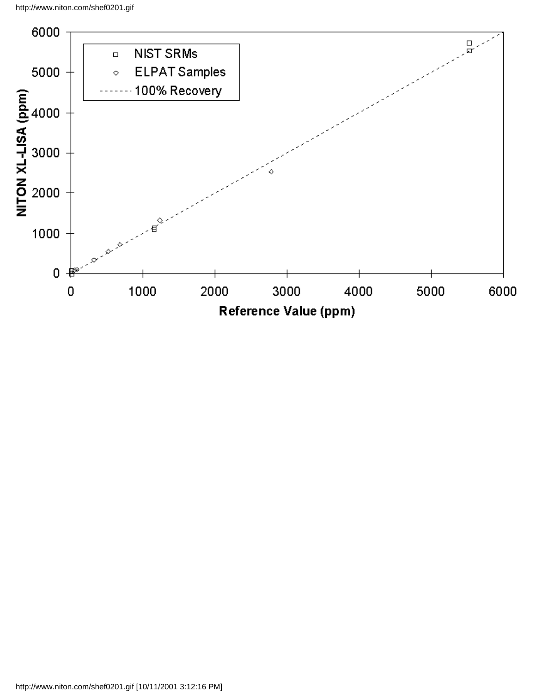<span id="page-6-0"></span>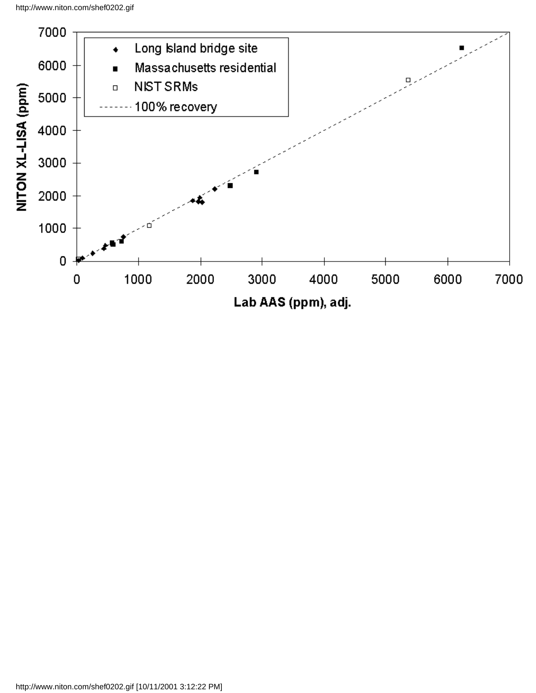<span id="page-7-0"></span>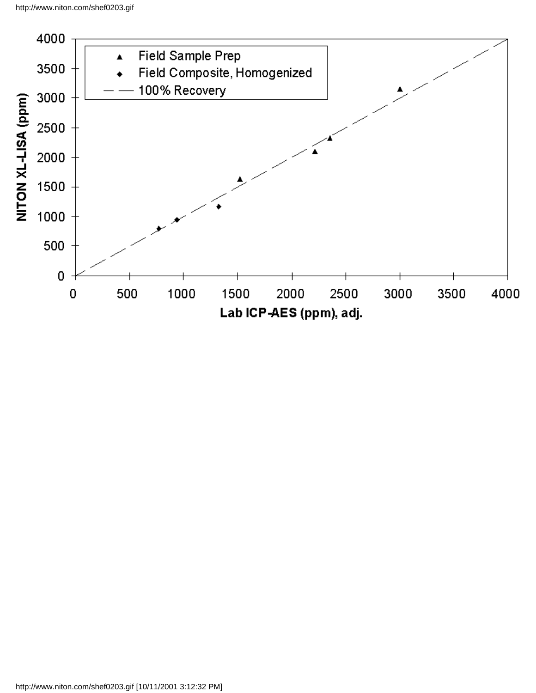<span id="page-8-0"></span>